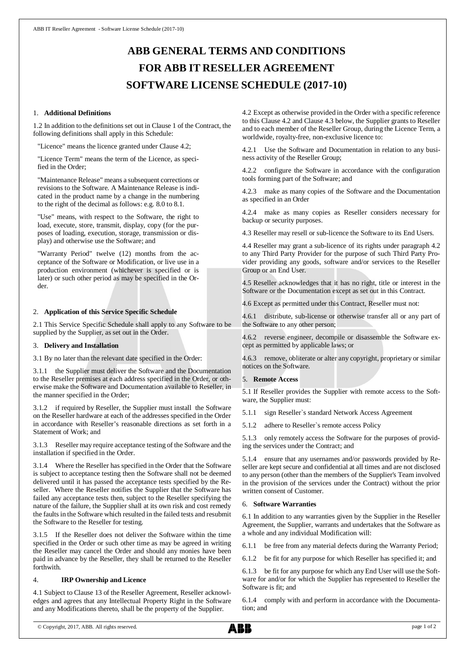# **ABB GENERAL TERMS AND CONDITIONS FOR ABB IT RESELLER AGREEMENT SOFTWARE LICENSE SCHEDULE (2017-10)**

## 1. **Additional Definitions**

1.2 In addition to the definitions set out in Clause 1 of the Contract, the following definitions shall apply in this Schedule:

"Licence" means the licence granted under Clause 4.2;

"Licence Term" means the term of the Licence, as specified in the Order;

"Maintenance Release" means a subsequent corrections or revisions to the Software. A Maintenance Release is indicated in the product name by a change in the numbering to the right of the decimal as follows: e.g. 8.0 to 8.1.

"Use" means, with respect to the Software, the right to load, execute, store, transmit, display, copy (for the purposes of loading, execution, storage, transmission or display) and otherwise use the Software; and

"Warranty Period" twelve (12) months from the acceptance of the Software or Modification, or live use in a production environment (whichever is specified or is later) or such other period as may be specified in the Order.

### 2. **Application of this Service Specific Schedule**

2.1 This Service Specific Schedule shall apply to any Software to be supplied by the Supplier, as set out in the Order.

#### 3. **Delivery and Installation**

3.1 By no later than the relevant date specified in the Order:

3.1.1 the Supplier must deliver the Software and the Documentation to the Reseller premises at each address specified in the Order, or otherwise make the Software and Documentation available to Reseller, in the manner specified in the Order;

3.1.2 if required by Reseller, the Supplier must install the Software on the Reseller hardware at each of the addresses specified in the Order in accordance with Reseller's reasonable directions as set forth in a Statement of Work; and

3.1.3 Reseller may require acceptance testing of the Software and the installation if specified in the Order.

3.1.4 Where the Reseller has specified in the Order that the Software is subject to acceptance testing then the Software shall not be deemed delivered until it has passed the acceptance tests specified by the Reseller. Where the Reseller notifies the Supplier that the Software has failed any acceptance tests then, subject to the Reseller specifying the nature of the failure, the Supplier shall at its own risk and cost remedy the faults in the Software which resulted in the failed tests and resubmit the Software to the Reseller for testing.

3.1.5 If the Reseller does not deliver the Software within the time specified in the Order or such other time as may be agreed in writing the Reseller may cancel the Order and should any monies have been paid in advance by the Reseller, they shall be returned to the Reseller forthwith.

# 4. **IRP Ownership and Licence**

4.1 Subject to Clause 13 of the Reseller Agreement, Reseller acknowledges and agrees that any Intellectual Property Right in the Software and any Modifications thereto, shall be the property of the Supplier.

4.2 Except as otherwise provided in the Order with a specific reference to this Clause 4.2 and Clause 4.3 below, the Supplier grants to Reseller and to each member of the Reseller Group, during the Licence Term, a worldwide, royalty-free, non-exclusive licence to:

4.2.1 Use the Software and Documentation in relation to any business activity of the Reseller Group;

4.2.2 configure the Software in accordance with the configuration tools forming part of the Software; and

4.2.3 make as many copies of the Software and the Documentation as specified in an Order

4.2.4 make as many copies as Reseller considers necessary for backup or security purposes.

4.3 Reseller may resell or sub-licence the Software to its End Users.

4.4 Reseller may grant a sub-licence of its rights under paragraph 4.2 to any Third Party Provider for the purpose of such Third Party Provider providing any goods, software and/or services to the Reseller Group or an End User.

4.5 Reseller acknowledges that it has no right, title or interest in the Software or the Documentation except as set out in this Contract.

4.6 Except as permitted under this Contract, Reseller must not:

4.6.1 distribute, sub-license or otherwise transfer all or any part of the Software to any other person;

4.6.2 reverse engineer, decompile or disassemble the Software except as permitted by applicable laws; or

4.6.3 remove, obliterate or alter any copyright, proprietary or similar notices on the Software.

# 5. **Remote Access**

5.1 If Reseller provides the Supplier with remote access to the Software, the Supplier must:

5.1.1 sign Reseller`s standard Network Access Agreement

5.1.2 adhere to Reseller`s remote access Policy

5.1.3 only remotely access the Software for the purposes of providing the services under the Contract; and

5.1.4 ensure that any usernames and/or passwords provided by Reseller are kept secure and confidential at all times and are not disclosed to any person (other than the members of the Supplier's Team involved in the provision of the services under the Contract) without the prior written consent of Customer.

# 6. **Software Warranties**

6.1 In addition to any warranties given by the Supplier in the Reseller Agreement, the Supplier, warrants and undertakes that the Software as a whole and any individual Modification will:

6.1.1 be free from any material defects during the Warranty Period;

6.1.2 be fit for any purpose for which Reseller has specified it; and

6.1.3 be fit for any purpose for which any End User will use the Software for and/or for which the Supplier has represented to Reseller the Software is fit; and

6.1.4 comply with and perform in accordance with the Documentation; and